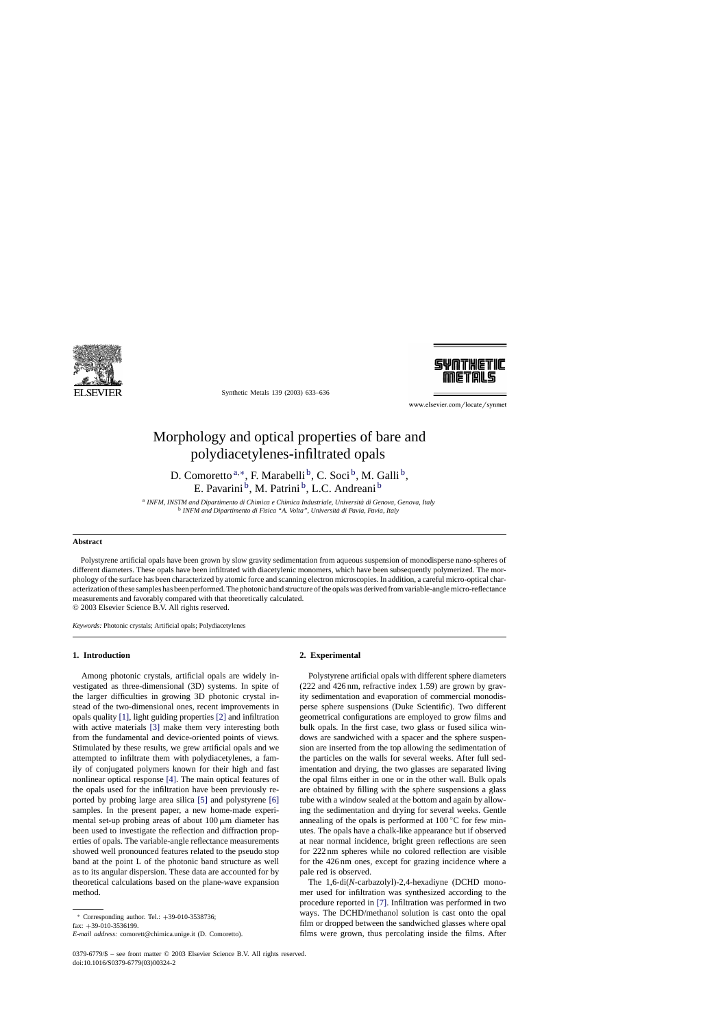

Synthetic Metals 139 (2003) 633–636



www.elsevier.com/locate/synmet

# Morphology and optical properties of bare and polydiacetylenes-infiltrated opals

D. Comoretto<sup>a,∗</sup>, F. Marabelli<sup>b</sup>, C. Soci<sup>b</sup>, M. Galli<sup>b</sup>, E. Pavarini <sup>b</sup>, M. Patrini <sup>b</sup>, L.C. Andreani <sup>b</sup>

<sup>a</sup> *INFM, INSTM and Dipartimento di Chimica e Chimica Industriale, Università di Genova, Genova, Italy* <sup>b</sup> *INFM and Dipartimento di Fisica "A. Volta", Università di Pavia, Pavia, Italy*

## **Abstract**

Polystyrene artificial opals have been grown by slow gravity sedimentation from aqueous suspension of monodisperse nano-spheres of different diameters. These opals have been infiltrated with diacetylenic monomers, which have been subsequently polymerized. The morphology of the surface has been characterized by atomic force and scanning electron microscopies. In addition, a careful micro-optical characterization of these samples has been performed. The photonic band structure of the opals was derived from variable-angle micro-reflectance measurements and favorably compared with that theoretically calculated. © 2003 Elsevier Science B.V. All rights reserved.

*Keywords:* Photonic crystals; Artificial opals; Polydiacetylenes

# **1. Introduction**

Among photonic crystals, artificial opals are widely investigated as three-dimensional (3D) systems. In spite of the larger difficulties in growing 3D photonic crystal instead of the two-dimensional ones, recent improvements in opals quality [\[1\], l](#page-3-0)ight guiding properties [\[2\]](#page-3-0) and infiltration with active materials [\[3\]](#page-3-0) make them very interesting both from the fundamental and device-oriented points of views. Stimulated by these results, we grew artificial opals and we attempted to infiltrate them with polydiacetylenes, a family of conjugated polymers known for their high and fast nonlinear optical response [\[4\].](#page-3-0) The main optical features of the opals used for the infiltration have been previously reported by probing large area silica [\[5\]](#page-3-0) and polystyrene [\[6\]](#page-3-0) samples. In the present paper, a new home-made experimental set-up probing areas of about  $100 \mu m$  diameter has been used to investigate the reflection and diffraction properties of opals. The variable-angle reflectance measurements showed well pronounced features related to the pseudo stop band at the point L of the photonic band structure as well as to its angular dispersion. These data are accounted for by theoretical calculations based on the plane-wave expansion method.

fax: +39-010-3536199.

#### **2. Experimental**

Polystyrene artificial opals with different sphere diameters (222 and 426 nm, refractive index 1.59) are grown by gravity sedimentation and evaporation of commercial monodisperse sphere suspensions (Duke Scientific). Two different geometrical configurations are employed to grow films and bulk opals. In the first case, two glass or fused silica windows are sandwiched with a spacer and the sphere suspension are inserted from the top allowing the sedimentation of the particles on the walls for several weeks. After full sedimentation and drying, the two glasses are separated living the opal films either in one or in the other wall. Bulk opals are obtained by filling with the sphere suspensions a glass tube with a window sealed at the bottom and again by allowing the sedimentation and drying for several weeks. Gentle annealing of the opals is performed at  $100\degree$ C for few minutes. The opals have a chalk-like appearance but if observed at near normal incidence, bright green reflections are seen for 222 nm spheres while no colored reflection are visible for the 426 nm ones, except for grazing incidence where a pale red is observed.

The 1,6-di(*N*-carbazolyl)-2,4-hexadiyne (DCHD monomer used for infiltration was synthesized according to the procedure reported in [\[7\].](#page-3-0) Infiltration was performed in two ways. The DCHD/methanol solution is cast onto the opal film or dropped between the sandwiched glasses where opal films were grown, thus percolating inside the films. After

<sup>∗</sup> Corresponding author. Tel.: +39-010-3538736;

*E-mail address:* comorett@chimica.unige.it (D. Comoretto).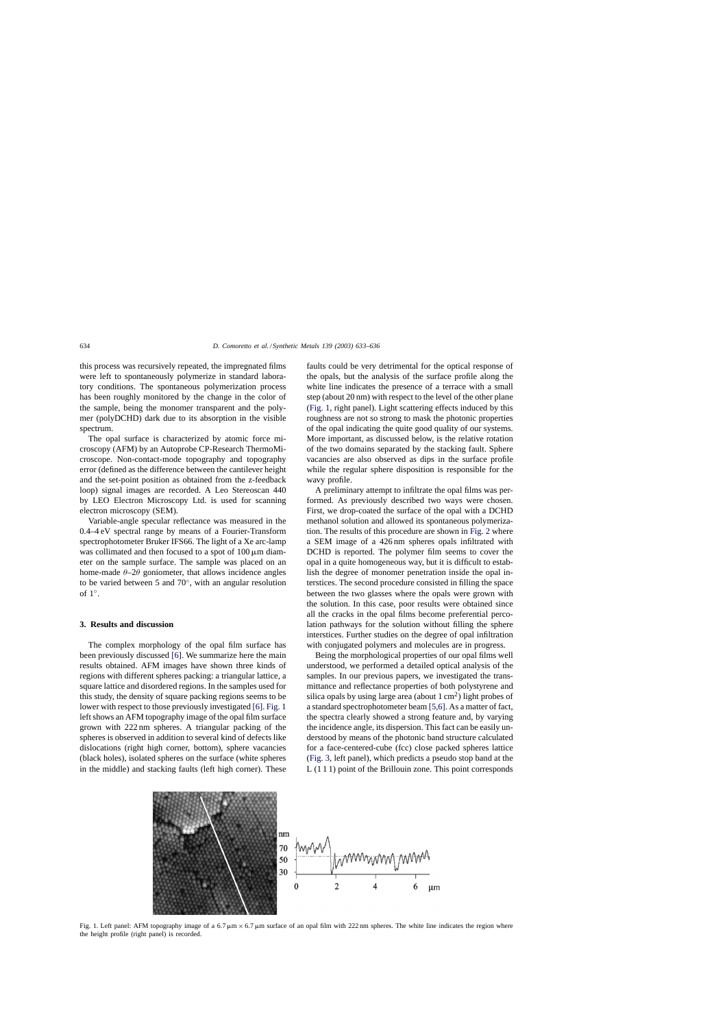<span id="page-1-0"></span>this process was recursively repeated, the impregnated films were left to spontaneously polymerize in standard laboratory conditions. The spontaneous polymerization process has been roughly monitored by the change in the color of the sample, being the monomer transparent and the polymer (polyDCHD) dark due to its absorption in the visible spectrum.

The opal surface is characterized by atomic force microscopy (AFM) by an Autoprobe CP-Research ThermoMicroscope. Non-contact-mode topography and topography error (defined as the difference between the cantilever height and the set-point position as obtained from the z-feedback loop) signal images are recorded. A Leo Stereoscan 440 by LEO Electron Microscopy Ltd. is used for scanning electron microscopy (SEM).

Variable-angle specular reflectance was measured in the 0.4–4 eV spectral range by means of a Fourier-Transform spectrophotometer Bruker IFS66. The light of a Xe arc-lamp was collimated and then focused to a spot of  $100 \mu m$  diameter on the sample surface. The sample was placed on an home-made  $\theta$ -2 $\theta$  goniometer, that allows incidence angles to be varied between 5 and 70◦, with an angular resolution of 1◦.

## **3. Results and discussion**

The complex morphology of the opal film surface has been previously discussed [\[6\].](#page-3-0) We summarize here the main results obtained. AFM images have shown three kinds of regions with different spheres packing: a triangular lattice, a square lattice and disordered regions. In the samples used for this study, the density of square packing regions seems to be lower with respect to those previously investigated [\[6\].](#page-3-0) Fig. 1 left shows an AFM topography image of the opal film surface grown with 222 nm spheres. A triangular packing of the spheres is observed in addition to several kind of defects like dislocations (right high corner, bottom), sphere vacancies (black holes), isolated spheres on the surface (white spheres in the middle) and stacking faults (left high corner). These

faults could be very detrimental for the optical response of the opals, but the analysis of the surface profile along the white line indicates the presence of a terrace with a small step (about 20 nm) with respect to the level of the other plane (Fig. 1, right panel). Light scattering effects induced by this roughness are not so strong to mask the photonic properties of the opal indicating the quite good quality of our systems. More important, as discussed below, is the relative rotation of the two domains separated by the stacking fault. Sphere vacancies are also observed as dips in the surface profile while the regular sphere disposition is responsible for the wavy profile.

A preliminary attempt to infiltrate the opal films was performed. As previously described two ways were chosen. First, we drop-coated the surface of the opal with a DCHD methanol solution and allowed its spontaneous polymerization. The results of this procedure are shown in [Fig. 2](#page-2-0) where a SEM image of a 426 nm spheres opals infiltrated with DCHD is reported. The polymer film seems to cover the opal in a quite homogeneous way, but it is difficult to establish the degree of monomer penetration inside the opal interstices. The second procedure consisted in filling the space between the two glasses where the opals were grown with the solution. In this case, poor results were obtained since all the cracks in the opal films become preferential percolation pathways for the solution without filling the sphere interstices. Further studies on the degree of opal infiltration with conjugated polymers and molecules are in progress.

Being the morphological properties of our opal films well understood, we performed a detailed optical analysis of the samples. In our previous papers, we investigated the transmittance and reflectance properties of both polystyrene and silica opals by using large area (about  $1 \text{ cm}^2$ ) light probes of a standard spectrophotometer beam [\[5,6\]. A](#page-3-0)s a matter of fact, the spectra clearly showed a strong feature and, by varying the incidence angle, its dispersion. This fact can be easily understood by means of the photonic band structure calculated for a face-centered-cube (fcc) close packed spheres lattice ([Fig. 3, l](#page-2-0)eft panel), which predicts a pseudo stop band at the L (1 1 1) point of the Brillouin zone. This point corresponds



Fig. 1. Left panel: AFM topography image of a 6.7  $\mu$ m  $\times$  6.7  $\mu$ m surface of an opal film with 222 nm spheres. The white line indicates the region where the height profile (right panel) is recorded.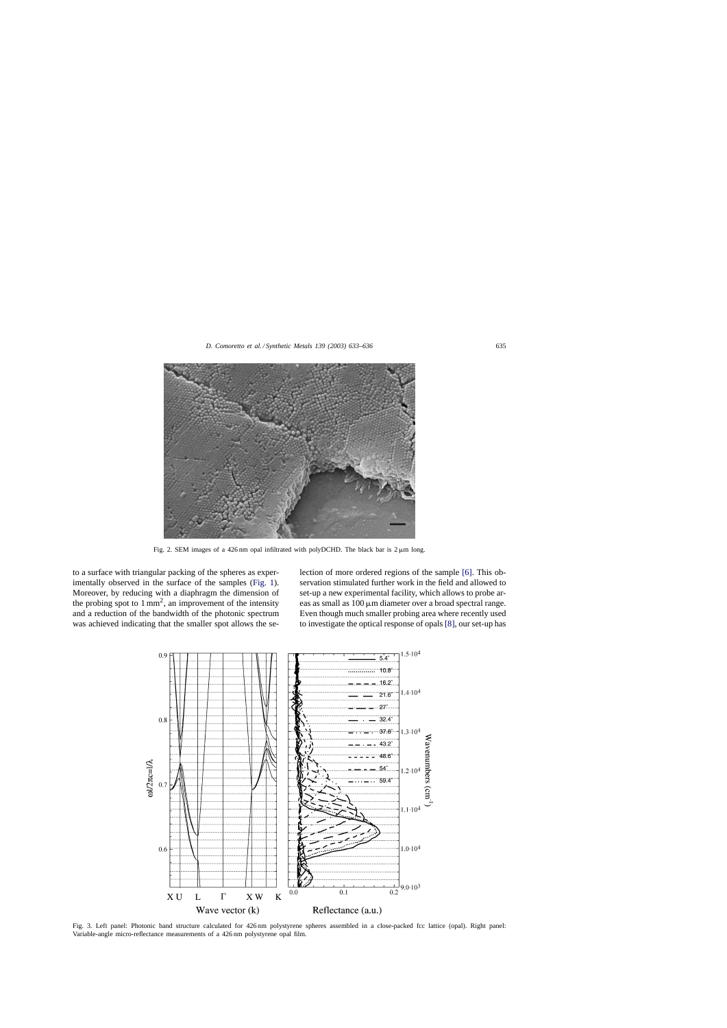<span id="page-2-0"></span>

Fig. 2. SEM images of a 426 nm opal infiltrated with polyDCHD. The black bar is  $2 \mu m$  long.

to a surface with triangular packing of the spheres as experimentally observed in the surface of the samples [\(Fig. 1\).](#page-1-0) Moreover, by reducing with a diaphragm the dimension of the probing spot to  $1 \text{ mm}^2$ , an improvement of the intensity and a reduction of the bandwidth of the photonic spectrum was achieved indicating that the smaller spot allows the selection of more ordered regions of the sample [\[6\].](#page-3-0) This observation stimulated further work in the field and allowed to set-up a new experimental facility, which allows to probe areas as small as  $100 \mu m$  diameter over a broad spectral range. Even though much smaller probing area where recently used to investigate the optical response of opals [\[8\], o](#page-3-0)ur set-up has



Fig. 3. Left panel: Photonic band structure calculated for 426 nm polystyrene spheres assembled in a close-packed fcc lattice (opal). Right panel: Variable-angle micro-reflectance measurements of a 426 nm polystyrene opal film.